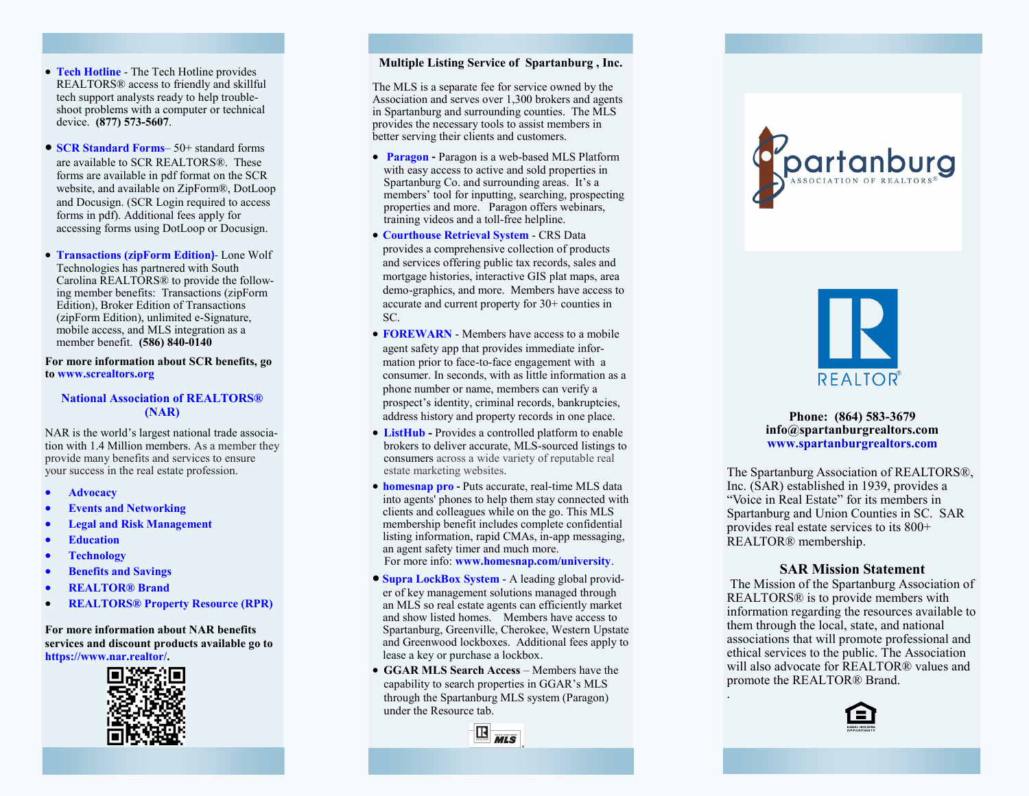- **[Tech Hotline](https://www.screaltors.org/techhelpline/)** The Tech Hotline provides REALTORS® access to friendly and skillful tech support analysts ready to help troubleshoot problems with a computer or technical device. **(877) 573 -5607** .
- **[SCR Standard Forms](https://www.screaltors.org/forms/)** 50+ standard forms are available to SCR REALTORS®. These forms are available in pdf format on the SCR website, and available on ZipForm®, DotLoop and Docusign. (SCR Login required to access forms in pdf). Additional fees apply for accessing forms using DotLoop or Docusign.
- **[Transactions \(zipForm Edition](https://ziplogix.com/nar-member-benefit/) )** Lone Wolf Technologies has partnered with South Carolina REALTORS® to provide the following member benefits: Transactions (zipForm Edition), Broker Edition of Transactions (zipForm Edition), unlimited e -Signature, mobile access, and MLS integration as a member benefit. **(586) 840 -0140**

**For more information about SCR benefits, go to [www.screaltors.org](http://www.screaltors.org)**

## **[National Association of REALTORS®](https://www.nar.realtor/) (NAR)**

NAR is the world 's largest national trade association with 1.4 Million members. As a member they provide many benefits and services to ensure your success in the real estate profession.

- **[Advocacy](https://www.nar.realtor/political-advocacy)**
- **[Events and Networking](https://www.nar.realtor/events)**
- **[Legal and Risk Management](https://www.nar.realtor/legal)**
- **[Education](https://www.nar.realtor/education)**
- **[Technology](https://www.nar.realtor/technology)**
- **[Benefits and Savings](https://www.nar.realtor/realtor-benefits-program?cid=RB1023)**
- **[REALTOR® Brand](https://www.nar.realtor/membership)**
- **[REALTORS® Property Resource \(RPR\)](https://www.nar.realtor/realtors-property-resource-rpr)**

#### **For more information about NAR benefits services and discount products available go to <https://www.nar.realtor/> .**



#### **Multiple Listing Service of Spartanburg , Inc.**

The MLS is a separate fee for service owned by the Association and serves over 1,300 brokers and agents in Spartanburg and surrounding counties. The MLS provides the necessary tools to assist members in better serving their clients and customers.

- **[Paragon](https://sptbgmls.paragonrels.com/ParagonLS/Default.mvc/Login) -** Paragon is a web-based MLS Platform with easy access to active and sold properties in Spartanburg Co. and surrounding areas. It 's a members' tool for inputting, searching, prospecting properties and more. Paragon offers webinars, training videos and a toll -free helpline.
- **[Courthouse Retrieval System](https://www.crsdata.com/main/)** CRS Data provides a comprehensive collection of products and services offering public tax records, sales and mortgage histories, interactive GIS plat maps, area demo -graphics, and more. Members have access to accurate and current property for 30+ counties in SC.
- **[FOREWARN](https://www.forewarn.com/)** Members have access to a mobile agent safety app that provides immediate information prior to face-to-face engagement with a consumer. In seconds, with as little information as a phone number or name, members can verify a prospect 's identity, criminal records, bankruptcies, address history and property records in one place .
- **[ListHub](https://www.listhub.com/home.html) -** Provides a controlled platform to enable brokers to deliver accurate, MLS -sourced listings to consumers across a wide variety of reputable real estate marketing websites.
- **[homesnap pro](https://www.homesnap.com/pro/plus) -** Puts accurate, real -time MLS data into agents' phones to help them stay connected with clients and colleagues while on the go. This MLS membership benefit includes complete confidential listing information, rapid CMAs, in -app messaging, an agent safety timer and much more. For more info: **[www.homesnap.com/university](http://www.homesnap.com/university)** .
- **[Supra LockBox System](http://www.supraekey.com/Pages/Home.aspx)** A leading global provider of key management solutions managed through an MLS so real estate agents can efficiently market and show listed homes. Members have access to Spartanburg, Greenville, Cherokee, Western Upstate and Greenwood lockboxes. Additional fees apply to lease a key or purchase a lockbox.
- **GGAR MLS Search Access** Members have the capability to search properties in GGAR 's MLS through the Spartanburg MLS system (Paragon) under the Resource tab.



# Dartanburg



#### **Phone: (864) 583 -3679 info@spartanburgrealtors.com [www.spartanburgrealtors.com](http://www.spartanburgrealtors.com)**

The Spartanburg Association of REALTORS®, Inc. (SAR) established in 1939, provides a "Voice in Real Estate" for its members in Spartanburg and Union Counties in SC. SAR provides real estate services to its 800+ REALTOR® membership.

# **SAR Mission Statement**

The Mission of the Spartanburg Association of REALTORS® is to provide members with information regarding the resources available to them through the local, state, and national associations that will promote professional and ethical services to the public. The Association will also advocate for REALTOR® values and promote the REALTOR® Brand. .